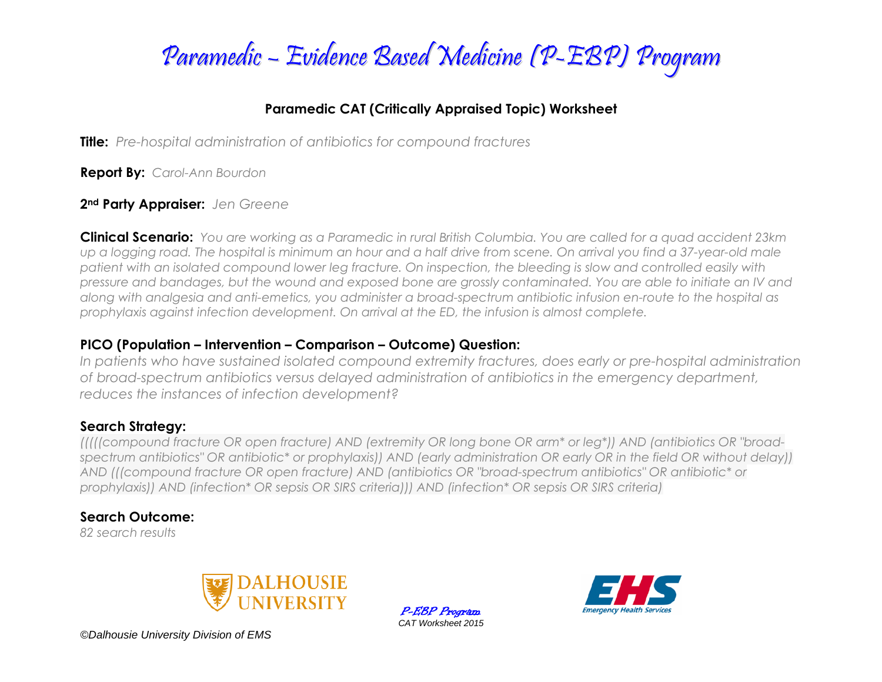

### **Paramedic CAT (Critically Appraised Topic) Worksheet**

**Title:** *Pre-hospital administration of antibiotics for compound fractures*

**Report By:** *Carol-Ann Bourdon*

#### **2nd Party Appraiser:** *Jen Greene*

**Clinical Scenario:** *You are working as a Paramedic in rural British Columbia. You are called for a quad accident 23km up a logging road. The hospital is minimum an hour and a half drive from scene. On arrival you find a 37-year-old male patient with an isolated compound lower leg fracture. On inspection, the bleeding is slow and controlled easily with pressure and bandages, but the wound and exposed bone are grossly contaminated. You are able to initiate an IV and along with analgesia and anti-emetics, you administer a broad-spectrum antibiotic infusion en-route to the hospital as prophylaxis against infection development. On arrival at the ED, the infusion is almost complete.*

### **PICO (Population – Intervention – Comparison – Outcome) Question:**

*In patients who have sustained isolated compound extremity fractures, does early or pre-hospital administration of broad-spectrum antibiotics versus delayed administration of antibiotics in the emergency department, reduces the instances of infection development?*

### **Search Strategy:**

*(((((compound fracture OR open fracture) AND (extremity OR long bone OR arm\* or leg\*)) AND (antibiotics OR "broadspectrum antibiotics" OR antibiotic\* or prophylaxis)) AND (early administration OR early OR in the field OR without delay)) AND (((compound fracture OR open fracture) AND (antibiotics OR "broad-spectrum antibiotics" OR antibiotic\* or prophylaxis)) AND (infection\* OR sepsis OR SIRS criteria))) AND (infection\* OR sepsis OR SIRS criteria)*

### **Search Outcome:**

*82 search results*



P-EBP Program *CAT Worksheet 2015*



*©Dalhousie University Division of EMS*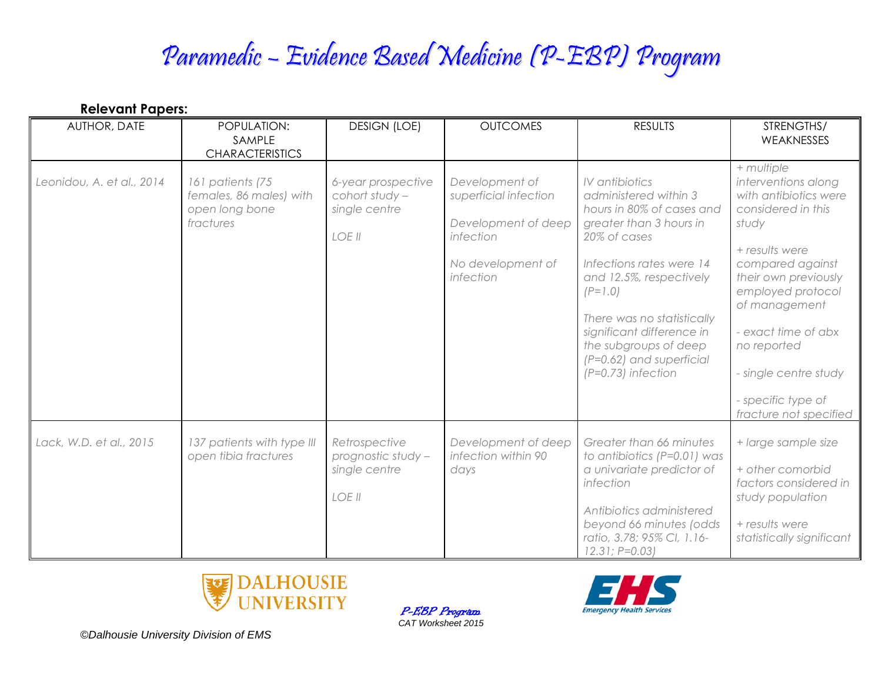# Paramedic – Evidence Based Medicine (P-EBP) Program

| <b>Relevant Papers:</b>   |                                                                            |                                                                 |                                                                                                               |                                                                                                                                                                                                                                                                                                                               |                                                                                                                                                                                                                                                                                                              |  |  |  |
|---------------------------|----------------------------------------------------------------------------|-----------------------------------------------------------------|---------------------------------------------------------------------------------------------------------------|-------------------------------------------------------------------------------------------------------------------------------------------------------------------------------------------------------------------------------------------------------------------------------------------------------------------------------|--------------------------------------------------------------------------------------------------------------------------------------------------------------------------------------------------------------------------------------------------------------------------------------------------------------|--|--|--|
| AUTHOR, DATE              | POPULATION:<br>SAMPLE<br><b>CHARACTERISTICS</b>                            | <b>DESIGN (LOE)</b>                                             | <b>OUTCOMES</b>                                                                                               | <b>RESULTS</b>                                                                                                                                                                                                                                                                                                                | STRENGTHS/<br>WEAKNESSES                                                                                                                                                                                                                                                                                     |  |  |  |
| Leonidou, A. et al., 2014 | 161 patients (75<br>females, 86 males) with<br>open long bone<br>fractures | 6-year prospective<br>cohort study -<br>single centre<br>LOE II | Development of<br>superficial infection<br>Development of deep<br>infection<br>No development of<br>infection | IV antibiotics<br>administered within 3<br>hours in 80% of cases and<br>greater than 3 hours in<br>20% of cases<br>Infections rates were 14<br>and 12.5%, respectively<br>$(P=1.0)$<br>There was no statistically<br>significant difference in<br>the subgroups of deep<br>$(P=0.62)$ and superficial<br>$(P=0.73)$ infection | + multiple<br>interventions along<br>with antibiotics were<br>considered in this<br>study<br>+ results were<br>compared against<br>their own previously<br>employed protocol<br>of management<br>- exact time of abx<br>no reported<br>- single centre study<br>- specific type of<br>fracture not specified |  |  |  |
| Lack, W.D. et al., 2015   | 137 patients with type III<br>open tibia fractures                         | Retrospective<br>prognostic study -<br>single centre<br>LOE II  | Development of deep<br>infection within 90<br>days                                                            | Greater than 66 minutes<br>to antibiotics (P=0.01) was<br>a univariate predictor of<br>infection<br>Antibiotics administered<br>beyond 66 minutes (odds<br>ratio, 3.78; 95% CI, 1.16-<br>$12.31; P=0.03$                                                                                                                      | + large sample size<br>+ other comorbid<br>factors considered in<br>study population<br>+ results were<br>statistically significant                                                                                                                                                                          |  |  |  |





*©Dalhousie University Division of EMS*

P-EBP Program *CAT Worksheet 2015*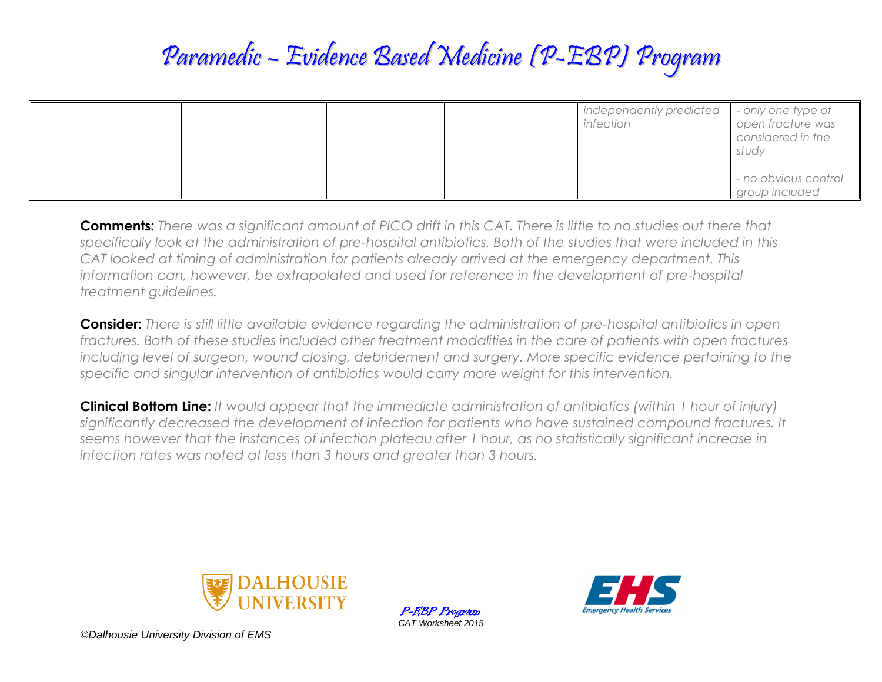# Paramedic – Evidence Based Medicine (P-EBP) Program

|  |  | independently predicted<br>infection | - only one type of<br>open fracture was<br>considered in the<br>study<br>- no obvious control |
|--|--|--------------------------------------|-----------------------------------------------------------------------------------------------|
|  |  |                                      | group included                                                                                |

**Comments:** *There was a significant amount of PICO drift in this CAT. There is little to no studies out there that specifically look at the administration of pre-hospital antibiotics. Both of the studies that were included in this CAT looked at timing of administration for patients already arrived at the emergency department. This information can, however, be extrapolated and used for reference in the development of pre-hospital treatment guidelines.*

**Consider:** *There is still little available evidence regarding the administration of pre-hospital antibiotics in open fractures. Both of these studies included other treatment modalities in the care of patients with open fractures including level of surgeon, wound closing, debridement and surgery. More specific evidence pertaining to the specific and singular intervention of antibiotics would carry more weight for this intervention.*

**Clinical Bottom Line:** *It would appear that the immediate administration of antibiotics (within 1 hour of injury) significantly decreased the development of infection for patients who have sustained compound fractures. It seems however that the instances of infection plateau after 1 hour, as no statistically significant increase in infection rates was noted at less than 3 hours and greater than 3 hours.*



P-EBP Program *CAT Worksheet 2015*



*©Dalhousie University Division of EMS*